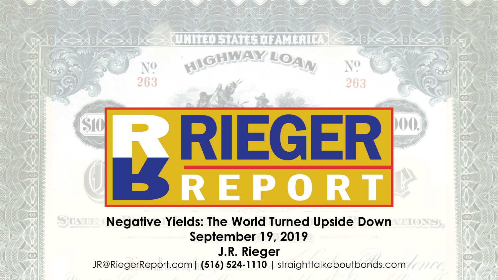263

 $N^0$ 

263

# **Negative Yields: The World Turned Upside Down September 19, 2019 J.R. Rieger**

JR@RiegerReport.com**| (516) 524-1110 |** straighttalkaboutbonds.com

**RIEGER** 

REPOR<sup>"</sup>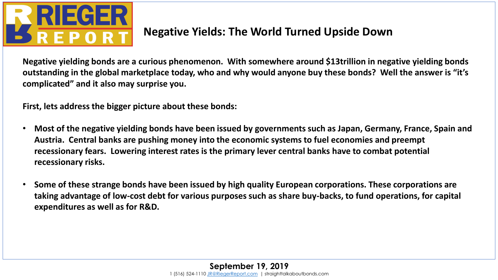

## **Negative Yields: The World Turned Upside Down**

**Negative yielding bonds are a curious phenomenon. With somewhere around \$13trillion in negative yielding bonds outstanding in the global marketplace today, who and why would anyone buy these bonds? Well the answer is "it's complicated" and it also may surprise you.**

**First, lets address the bigger picture about these bonds:**

- **Most of the negative yielding bonds have been issued by governments such as Japan, Germany, France, Spain and Austria. Central banks are pushing money into the economic systems to fuel economies and preempt recessionary fears. Lowering interest rates is the primary lever central banks have to combat potential recessionary risks.**
- **Some of these strange bonds have been issued by high quality European corporations. These corporations are taking advantage of low-cost debt for various purposes such as share buy-backs, to fund operations, for capital expenditures as well as for R&D.**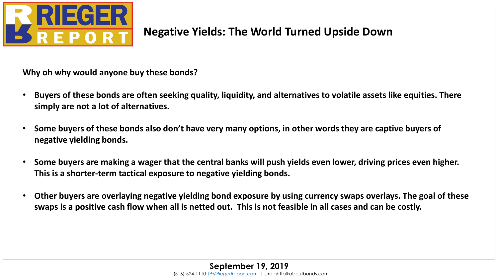

# **Negative Yields: The World Turned Upside Down**

**Why oh why would anyone buy these bonds?**

- **Buyers of these bonds are often seeking quality, liquidity, and alternatives to volatile assets like equities. There simply are not a lot of alternatives.**
- **Some buyers of these bonds also don't have very many options, in other words they are captive buyers of negative yielding bonds.**
- **Some buyers are making a wager that the central banks will push yields even lower, driving prices even higher. This is a shorter-term tactical exposure to negative yielding bonds.**
- **Other buyers are overlaying negative yielding bond exposure by using currency swaps overlays. The goal of these swaps is a positive cash flow when all is netted out. This is not feasible in all cases and can be costly.**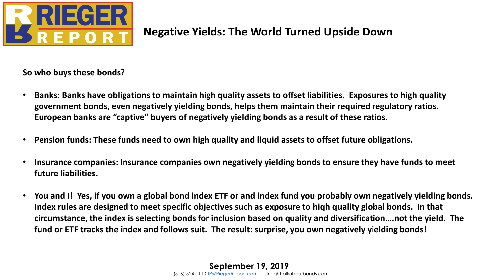

# **Negative Yields: The World Turned Upside Down**

**So who buys these bonds?**

- **Banks: Banks have obligations to maintain high quality assets to offset liabilities. Exposures to high quality government bonds, even negatively yielding bonds, helps them maintain their required regulatory ratios. European banks are "captive" buyers of negatively yielding bonds as a result of these ratios.**
- **Pension funds: These funds need to own high quality and liquid assets to offset future obligations.**
- **Insurance companies: Insurance companies own negatively yielding bonds to ensure they have funds to meet future liabilities.**
- **You and I! Yes, if you own a global bond index ETF or and index fund you probably own negatively yielding bonds. Index rules are designed to meet specific objectives such as exposure to hiqh quality global bonds. In that circumstance, the index is selecting bonds for inclusion based on quality and diversification….not the yield. The fund or ETF tracks the index and follows suit. The result: surprise, you own negatively yielding bonds!**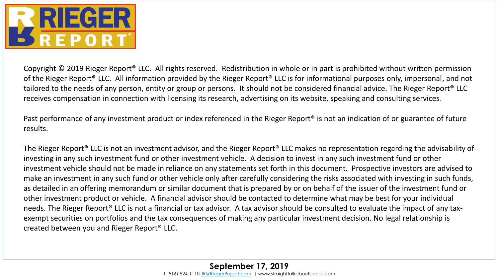

Copyright © 2019 Rieger Report® LLC. All rights reserved. Redistribution in whole or in part is prohibited without written permission of the Rieger Report® LLC. All information provided by the Rieger Report® LLC is for informational purposes only, impersonal, and not tailored to the needs of any person, entity or group or persons. It should not be considered financial advice. The Rieger Report® LLC receives compensation in connection with licensing its research, advertising on its website, speaking and consulting services.

Past performance of any investment product or index referenced in the Rieger Report® is not an indication of or guarantee of future results.

The Rieger Report® LLC is not an investment advisor, and the Rieger Report® LLC makes no representation regarding the advisability of investing in any such investment fund or other investment vehicle. A decision to invest in any such investment fund or other investment vehicle should not be made in reliance on any statements set forth in this document. Prospective investors are advised to make an investment in any such fund or other vehicle only after carefully considering the risks associated with investing in such funds, as detailed in an offering memorandum or similar document that is prepared by or on behalf of the issuer of the investment fund or other investment product or vehicle. A financial advisor should be contacted to determine what may be best for your individual needs. The Rieger Report® LLC is not a financial or tax advisor. A tax advisor should be consulted to evaluate the impact of any taxexempt securities on portfolios and the tax consequences of making any particular investment decision. No legal relationship is created between you and Rieger Report® LLC.